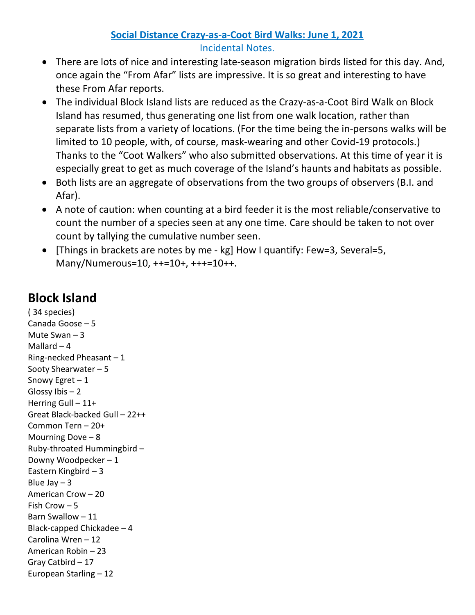## **Social Distance Crazy-as-a-Coot Bird Walks: June 1, 2021** Incidental Notes.

- There are lots of nice and interesting late-season migration birds listed for this day. And, once again the "From Afar" lists are impressive. It is so great and interesting to have these From Afar reports.
- The individual Block Island lists are reduced as the Crazy-as-a-Coot Bird Walk on Block Island has resumed, thus generating one list from one walk location, rather than separate lists from a variety of locations. (For the time being the in-persons walks will be limited to 10 people, with, of course, mask-wearing and other Covid-19 protocols.) Thanks to the "Coot Walkers" who also submitted observations. At this time of year it is especially great to get as much coverage of the Island's haunts and habitats as possible.
- Both lists are an aggregate of observations from the two groups of observers (B.I. and Afar).
- A note of caution: when counting at a bird feeder it is the most reliable/conservative to count the number of a species seen at any one time. Care should be taken to not over count by tallying the cumulative number seen.
- [Things in brackets are notes by me kg] How I quantify: Few=3, Several=5, Many/Numerous=10, ++=10+, +++=10++.

## **Block Island**

( 34 species) Canada Goose – 5 Mute Swan – 3 Mallard  $-4$ Ring-necked Pheasant – 1 Sooty Shearwater – 5 Snowy Egret – 1 Glossy Ibis  $-2$ Herring Gull – 11+ Great Black-backed Gull – 22++ Common Tern – 20+ Mourning Dove – 8 Ruby-throated Hummingbird – Downy Woodpecker – 1 Eastern Kingbird – 3 Blue Jay  $-3$ American Crow – 20 Fish Crow – 5 Barn Swallow – 11 Black-capped Chickadee – 4 Carolina Wren – 12 American Robin – 23 Gray Catbird – 17 European Starling – 12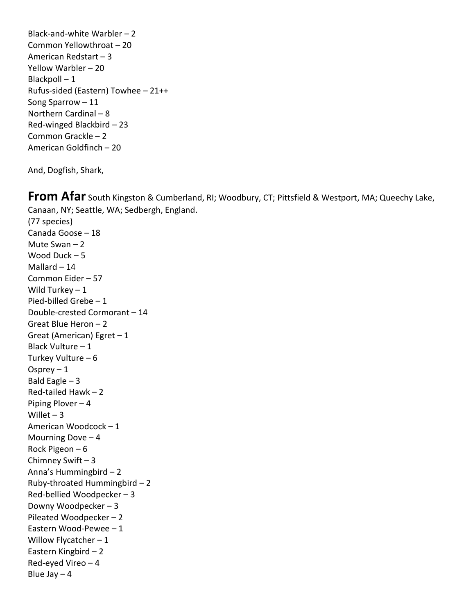Black-and-white Warbler – 2 Common Yellowthroat – 20 American Redstart – 3 Yellow Warbler – 20 Blackpoll  $-1$ Rufus-sided (Eastern) Towhee – 21++ Song Sparrow – 11 Northern Cardinal – 8 Red-winged Blackbird – 23 Common Grackle – 2 American Goldfinch – 20

And, Dogfish, Shark,

Blue Jay  $-4$ 

**From Afar** South Kingston & Cumberland, RI; Woodbury, CT; Pittsfield & Westport, MA; Queechy Lake, Canaan, NY; Seattle, WA; Sedbergh, England. (77 species) Canada Goose – 18 Mute Swan – 2 Wood Duck – 5 Mallard – 14 Common Eider – 57 Wild Turkey  $-1$ Pied-billed Grebe – 1 Double-crested Cormorant – 14 Great Blue Heron – 2 Great (American) Egret – 1 Black Vulture – 1 Turkey Vulture – 6 Osprey  $-1$ Bald Eagle  $-3$ Red-tailed Hawk – 2 Piping Plover – 4 Willet  $-3$ American Woodcock – 1 Mourning Dove – 4 Rock Pigeon – 6 Chimney Swift – 3 Anna's Hummingbird – 2 Ruby-throated Hummingbird – 2 Red-bellied Woodpecker – 3 Downy Woodpecker – 3 Pileated Woodpecker – 2 Eastern Wood-Pewee – 1 Willow Flycatcher - 1 Eastern Kingbird – 2 Red-eyed Vireo – 4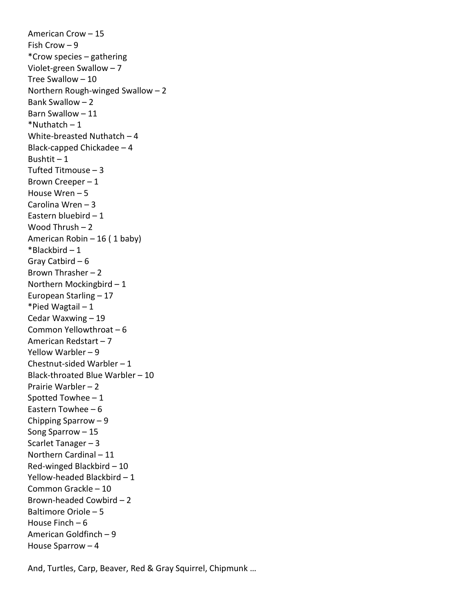American Crow – 15 Fish Crow – 9 \*Crow species – gathering Violet-green Swallow – 7 Tree Swallow – 10 Northern Rough-winged Swallow – 2 Bank Swallow – 2 Barn Swallow – 11  $*$ Nuthatch – 1 White-breasted Nuthatch – 4 Black-capped Chickadee – 4 Bushtit  $-1$ Tufted Titmouse – 3 Brown Creeper – 1 House Wren – 5 Carolina Wren – 3 Eastern bluebird – 1 Wood Thrush – 2 American Robin – 16 ( 1 baby)  $*$ Blackbird – 1 Gray Catbird – 6 Brown Thrasher – 2 Northern Mockingbird – 1 European Starling – 17 \*Pied Wagtail – 1 Cedar Waxwing – 19 Common Yellowthroat – 6 American Redstart – 7 Yellow Warbler – 9 Chestnut-sided Warbler – 1 Black-throated Blue Warbler – 10 Prairie Warbler – 2 Spotted Towhee – 1 Eastern Towhee – 6 Chipping Sparrow – 9 Song Sparrow – 15 Scarlet Tanager – 3 Northern Cardinal – 11 Red-winged Blackbird – 10 Yellow-headed Blackbird – 1 Common Grackle – 10 Brown-headed Cowbird – 2 Baltimore Oriole – 5 House Finch – 6 American Goldfinch – 9 House Sparrow – 4

And, Turtles, Carp, Beaver, Red & Gray Squirrel, Chipmunk …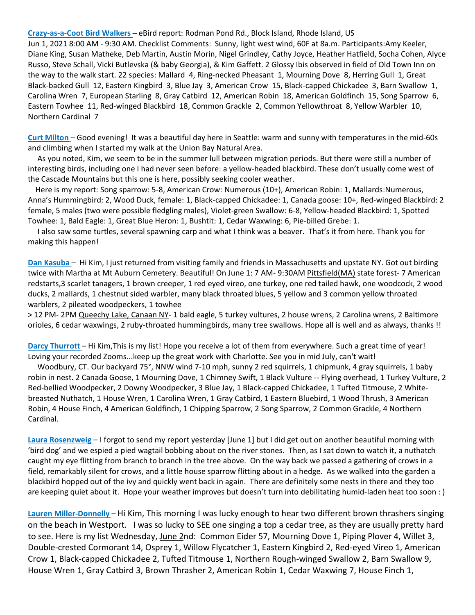**Crazy-as-a-Coot Bird Walkers** – eBird report: Rodman Pond Rd., Block Island, Rhode Island, US

Jun 1, 2021 8:00 AM - 9:30 AM. Checklist Comments: Sunny, light west wind, 60F at 8a.m. Participants:Amy Keeler, Diane King, Susan Matheke, Deb Martin, Austin Morin, Nigel Grindley, Cathy Joyce, Heather Hatfield, Socha Cohen, Alyce Russo, Steve Schall, Vicki Butlevska (& baby Georgia), & Kim Gaffett. 2 Glossy Ibis observed in field of Old Town Inn on the way to the walk start. 22 species: Mallard 4, Ring-necked Pheasant 1, Mourning Dove 8, Herring Gull 1, Great Black-backed Gull 12, Eastern Kingbird 3, Blue Jay 3, American Crow 15, Black-capped Chickadee 3, Barn Swallow 1, Carolina Wren 7, European Starling 8, Gray Catbird 12, American Robin 18, American Goldfinch 15, Song Sparrow 6, Eastern Towhee 11, Red-winged Blackbird 18, Common Grackle 2, Common Yellowthroat 8, Yellow Warbler 10, Northern Cardinal 7

**Curt Milton** – Good evening! It was a beautiful day here in Seattle: warm and sunny with temperatures in the mid-60s and climbing when I started my walk at the Union Bay Natural Area.

 As you noted, Kim, we seem to be in the summer lull between migration periods. But there were still a number of interesting birds, including one I had never seen before: a yellow-headed blackbird. These don't usually come west of the Cascade Mountains but this one is here, possibly seeking cooler weather.

 Here is my report: Song sparrow: 5-8, American Crow: Numerous (10+), American Robin: 1, Mallards:Numerous, Anna's Hummingbird: 2, Wood Duck, female: 1, Black-capped Chickadee: 1, Canada goose: 10+, Red-winged Blackbird: 2 female, 5 males (two were possible fledgling males), Violet-green Swallow: 6-8, Yellow-headed Blackbird: 1, Spotted Towhee: 1, Bald Eagle: 1, Great Blue Heron: 1, Bushtit: 1, Cedar Waxwing: 6, Pie-billed Grebe: 1.

 I also saw some turtles, several spawning carp and what I think was a beaver. That's it from here. Thank you for making this happen!

**Dan Kasuba** – Hi Kim, I just returned from visiting family and friends in Massachusetts and upstate NY. Got out birding twice with Martha at Mt Auburn Cemetery. Beautiful! On June 1: 7 AM- 9:30AM Pittsfield(MA) state forest- 7 American redstarts,3 scarlet tanagers, 1 brown creeper, 1 red eyed vireo, one turkey, one red tailed hawk, one woodcock, 2 wood ducks, 2 mallards, 1 chestnut sided warbler, many black throated blues, 5 yellow and 3 common yellow throated warblers, 2 pileated woodpeckers, 1 towhee

> 12 PM- 2PM Queechy Lake, Canaan NY- 1 bald eagle, 5 turkey vultures, 2 house wrens, 2 Carolina wrens, 2 Baltimore orioles, 6 cedar waxwings, 2 ruby-throated hummingbirds, many tree swallows. Hope all is well and as always, thanks !!

**Darcy Thurrott** – Hi Kim,This is my list! Hope you receive a lot of them from everywhere. Such a great time of year! Loving your recorded Zooms...keep up the great work with Charlotte. See you in mid July, can't wait!

 Woodbury, CT. Our backyard 75°, NNW wind 7-10 mph, sunny 2 red squirrels, 1 chipmunk, 4 gray squirrels, 1 baby robin in nest. 2 Canada Goose, 1 Mourning Dove, 1 Chimney Swift, 1 Black Vulture -- Flying overhead, 1 Turkey Vulture, 2 Red-bellied Woodpecker, 2 Downy Woodpecker, 3 Blue Jay, 1 Black-capped Chickadee, 1 Tufted Titmouse, 2 Whitebreasted Nuthatch, 1 House Wren, 1 Carolina Wren, 1 Gray Catbird, 1 Eastern Bluebird, 1 Wood Thrush, 3 American Robin, 4 House Finch, 4 American Goldfinch, 1 Chipping Sparrow, 2 Song Sparrow, 2 Common Grackle, 4 Northern Cardinal.

**Laura Rosenzweig** – I forgot to send my report yesterday [June 1] but I did get out on another beautiful morning with 'bird dog' and we espied a pied wagtail bobbing about on the river stones. Then, as I sat down to watch it, a nuthatch caught my eye flitting from branch to branch in the tree above. On the way back we passed a gathering of crows in a field, remarkably silent for crows, and a little house sparrow flitting about in a hedge. As we walked into the garden a blackbird hopped out of the ivy and quickly went back in again. There are definitely some nests in there and they too are keeping quiet about it. Hope your weather improves but doesn't turn into debilitating humid-laden heat too soon : )

**Lauren Miller-Donnelly** – Hi Kim, This morning I was lucky enough to hear two different brown thrashers singing on the beach in Westport. I was so lucky to SEE one singing a top a cedar tree, as they are usually pretty hard to see. Here is my list Wednesday, June 2nd: Common Eider 57, Mourning Dove 1, Piping Plover 4, Willet 3, Double-crested Cormorant 14, Osprey 1, Willow Flycatcher 1, Eastern Kingbird 2, Red-eyed Vireo 1, American Crow 1, Black-capped Chickadee 2, Tufted Titmouse 1, Northern Rough-winged Swallow 2, Barn Swallow 9, House Wren 1, Gray Catbird 3, Brown Thrasher 2, American Robin 1, Cedar Waxwing 7, House Finch 1,